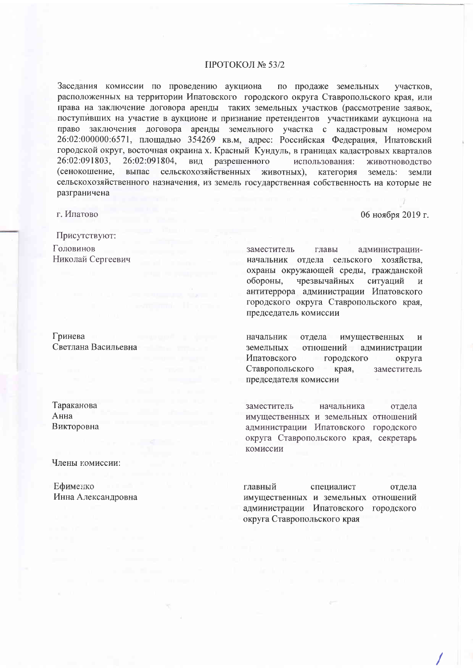### ПРОТОКОЛ № 53/2

Заседания комиссии по проведению аукциона по продаже земельных участков. расположенных на территории Ипатовского городского округа Ставропольского края, или права на заключение договора аренды таких земельных участков (рассмотрение заявок, поступивших на участие в аукционе и признание претендентов участниками аукциона на право заключения договора аренды земельного участка с кадастровым номером 26:02:000000:6571, площадью 354269 кв.м, адрес: Российская Федерация, Ипатовский городской округ, восточная окраина х. Красный Кундуль, в границах кадастровых кварталов 26:02:091803, 26:02:091804, вид разрешенного использования: ЖИВОТНОВОДСТВО (сенокошение. выпас сельскохозяйственных животных), категория земель: земли сельскохозяйственного назначения, из земель государственная собственность на которые не разграничена

г. Ипатово

06 ноября 2019 г.

Присутствуют: Головинов Николай Сергеевич

Гринева Светлана Васильевна

Тараканова Анна Викторовна

Члены комиссии:

Ефименко Инна Александровна заместитель главы администрацииначальник отдела сельского хозяйства, охраны окружающей среды, гражданской обороны, чрезвычайных ситуаций  $\overline{M}$ антитеррора администрации Ипатовского городского округа Ставропольского края, председатель комиссии

начальник отдела имущественных  $\mathbf{M}$ земельных отношений администрации Ипатовского городского округа Ставропольского края, заместитель председателя комиссии

заместитель начальника отлела имущественных и земельных отношений администрации Ипатовского городского округа Ставропольского края, секретарь комиссии

главный специалист отдела имущественных и земельных отношений администрации Ипатовского городского округа Ставропольского края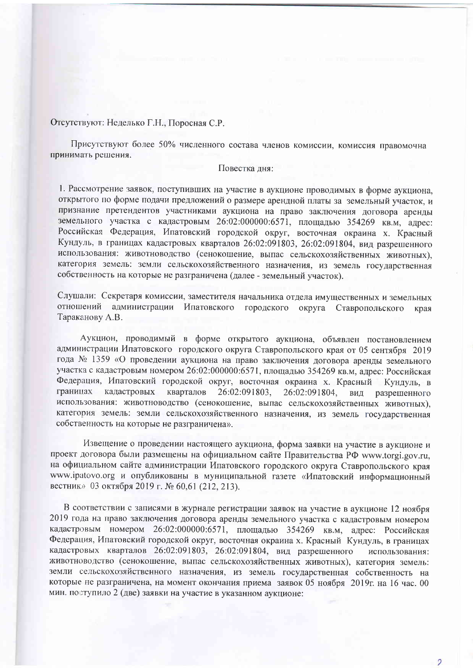# Отсутствуют: Неделько Г.Н., Поросная С.Р.

Присутствуют более 50% численного состава членов комиссии, комиссия правомочна принимать решения.

#### Повестка дня:

1. Рассмотрение заявок, поступивших на участие в аукционе проводимых в форме аукциона, открытого по форме подачи предложений о размере арендной платы за земельный участок, и признание претендентов участниками аукциона на право заключения договора аренды земельного участка с кадастровым 26:02:000000:6571, площадью 354269 кв.м, адрес: Российская Федерация, Ипатовский городской округ, восточная окраина х. Красный Кундуль, в границах кадастровых кварталов 26:02:091803, 26:02:091804, вид разрешенного использования: животноводство (сенокошение, выпас сельскохозяйственных животных), категория земель: земли сельскохозяйственного назначения, из земель государственная собственность на которые не разграничена (далее - земельный участок).

Слушали: Секретаря комиссии, заместителя начальника отдела имущественных и земельных отношений администрации Ипатовского городского округа Ставропольского края Тараканову А.В.

Аукцион, проводимый в форме открытого аукциона, объявлен постановлением администрации Ипатовского городского округа Ставропольского края от 05 сентября 2019 года № 1359 «О проведении аукциона на право заключения договора аренды земельного участка с кадастровым номером 26:02:000000:6571, площадью 354269 кв.м, адрес: Российская Федерация, Ипатовский городской округ, восточная окраина х. Красный Кундуль. в границах кадастровых кварталов 26:02:091803. 26:02:091804, ВИД разрешенного использования: животноводство (сенокошение, выпас сельскохозяйственных животных), категория земель: земли сельскохозяйственного назначения, из земель государственная собственность на которые не разграничена».

Извещение о проведении настоящего аукциона, форма заявки на участие в аукционе и проект договора были размещены на официальном сайте Правительства РФ www.torgi.gov.ru, на официальном сайте администрации Ипатовского городского округа Ставропольского края www.ipatovo.org и опубликованы в муниципальной газете «Ипатовский информационный вестник» 03 октября 2019 г. № 60,61 (212, 213).

В соответствии с записями в журнале регистрации заявок на участие в аукционе 12 ноября 2019 года на право заключения договора аренды земельного участка с кадастровым номером кадастровым номером 26:02:000000:6571, площадью 354269 кв.м, адрес: Российская Федерация, Ипатовский городской округ, восточная окраина х. Красный Кундуль, в границах кадастровых кварталов 26:02:091803, 26:02:091804, вид разрешенного использования: животноводство (сенокошение, выпас сельскохозяйственных животных), категория земель: земли сельскохозяйственного назначения, из земель государственная собственность на которые не разграничена, на момент окончания приема заявок 05 ноября 2019г. на 16 час. 00 мин. поступило 2 (две) заявки на участие в указанном аукционе:

 $\mathcal{D}$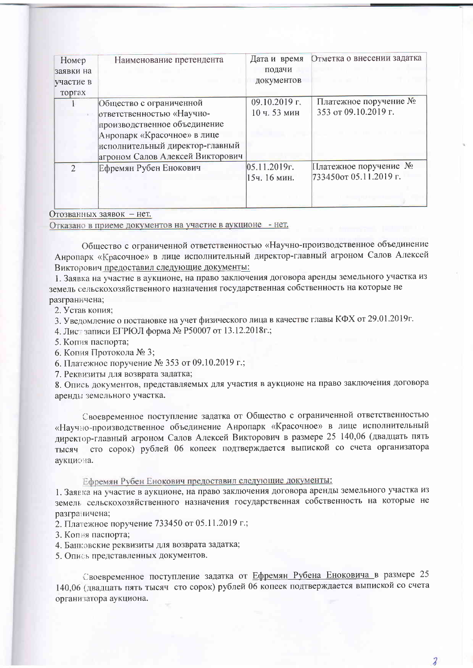| Номер<br>заявки на<br>участие в | Наименование претендента         | Дата и время<br>подачи<br>документов | Отметка о внесении задатка |
|---------------------------------|----------------------------------|--------------------------------------|----------------------------|
| торгах                          |                                  |                                      |                            |
|                                 | Общество с ограниченной          | 09.10.2019 г.                        | Платежное поручение №      |
|                                 | ответственностью «Научно-        | 10 ч. 53 мин                         | 353 от 09.10.2019 г.       |
|                                 | производственное объединение     |                                      |                            |
|                                 | Анропарк «Красочное» в лице      |                                      |                            |
|                                 | исполнительный директор-главный  |                                      |                            |
|                                 | агроном Салов Алексей Викторович |                                      |                            |
| $\mathcal{D}_{\mathcal{L}}$     | Ефремян Рубен Енокович           | 05.11.2019r.                         | Платежное поручение №      |
|                                 |                                  | 15ч. 16 мин.                         | 733450от 05.11.2019 г.     |
|                                 |                                  |                                      |                            |
|                                 |                                  |                                      |                            |

## Отозванных заявок - нет.

Отказано в приеме документов на участие в аукционе - нет.

Общество с ограниченной ответственностью «Научно-производственное объединение Анропарк «Красочное» в лице исполнительный директор-главный агроном Салов Алексей Викторович предоставил следующие документы:

1. Заявка на участие в аукционе, на право заключения договора аренды земельного участка из земель сельскохозяйственного назначения государственная собственность на которые не разграничена;

2. Устав копия:

3. Уведомление о постановке на учет физического лица в качестве главы КФХ от 29.01.2019г.

4. Лист записи ЕГРЮЛ форма № Р50007 от 13.12.2018г.;

5. Копия паспорта;

6. Копия Протокола № 3;

6. Платежное поручение № 353 от 09.10.2019 г.;

7. Реквизиты для возврата задатка;

8. Опись документов, представляемых для участия в аукционе на право заключения договора аренды земельного участка.

Своевременное поступление задатка от Общество с ограниченной ответственностью «Научно-производственное объединение Анропарк «Красочное» в лице исполнительный директор-главный агроном Салов Алексей Викторович в размере 25 140,06 (двадцать пять тысяч сто сорок) рублей 06 копеек подтверждается выпиской со счета организатора аукциона.

Ефремян Рубен Енокович предоставил следующие документы:

1. Заявка на участие в аукционе, на право заключения договора аренды земельного участка из земель сельскохозяйственного назначения государственная собственность на которые не разграничена;

2. Платежное поручение 733450 от 05.11.2019 г.;

- 3. Копия паспорта;
- 4. Банковские реквизиты для возврата задатка;

5. Опись представленных документов.

Своевременное поступление задатка от Ефремян Рубена Еноковича в размере 25 140,06 (двадцать пять тысяч сто сорок) рублей 06 копеек подтверждается выпиской со счета организатора аукциона.

 $\overline{\mathbf{z}}$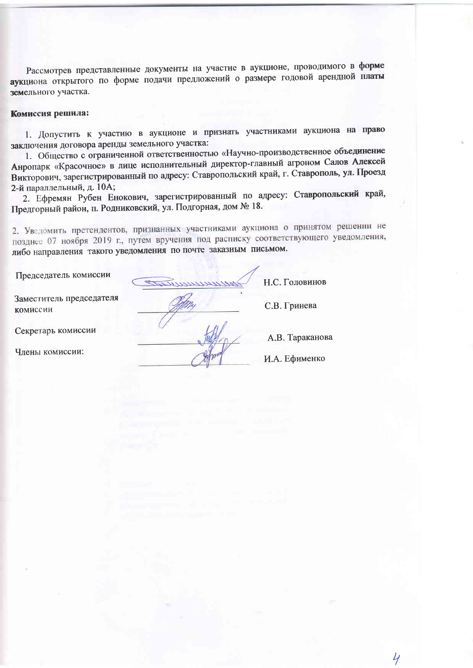Рассмотрев представленные документы на участие в аукционе, проводимого в форме аукциона открытого по форме подачи предложений о размере годовой арендной платы земельного участка.

#### Комиссия решила:

1. Допустить к участию в аукционе и признать участниками аукциона на право заключения договора аренды земельного участка:

1. Общество с ограниченной ответственностью «Научно-производственное объединение Анропарк «Красочное» в лице исполнительный директор-главный агроном Салов Алексей Викторович, зарегистрированный по адресу: Ставропольский край, г. Ставрополь, ул. Проезд 2-й параллельный, д. 10А;

2. Ефремян Рубен Енокович, зарегистрированный по адресу: Ставропольский край, Предгорный район, п. Родниковский, ул. Подгорная, дом № 18.

2. Уведомить претендентов, признанных участниками аукциона о принятом решении не позднее 07 ноября 2019 г., путем вручения под расписку соответствующего уведомления, либо направления такого уведомления по почте заказным письмом.

Председатель комиссии

Заместитель председателя комиссии

Секретарь комиссии

Члены комиссии:

Н.С. Головинов

С.В. Гринева

А.В. Тараканова

И.А. Ефименко